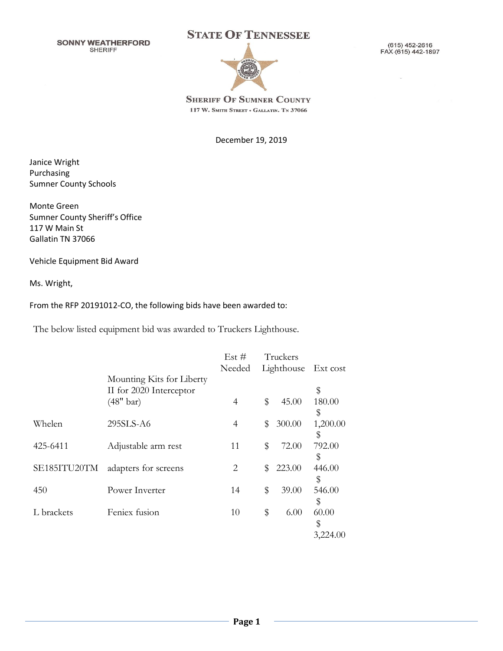**SONNY WEATHERFORD SHERIFF** 





(615) 452-2616 FAX (615) 442-1897

**SHERIFF OF SUMNER COUNTY** 117 W. SMITH STREET . GALLATIN. TN 37066

December 19, 2019

Janice Wright Purchasing Sumner County Schools

Monte Green Sumner County Sheriff's Office 117 W Main St Gallatin TN 37066

Vehicle Equipment Bid Award

Ms. Wright,

From the RFP 20191012-CO, the following bids have been awarded to:

The below listed equipment bid was awarded to Truckers Lighthouse.

|              |                           | Est $#$<br>Needed | Truckers<br>Lighthouse | Ext cost |
|--------------|---------------------------|-------------------|------------------------|----------|
|              | Mounting Kits for Liberty |                   |                        |          |
|              | II for 2020 Interceptor   |                   |                        | \$       |
|              | $(48"$ bar)               | 4                 | \$<br>45.00            | 180.00   |
|              |                           |                   |                        | \$       |
| Whelen       | 295SLS-A6                 | 4                 | \$<br>300.00           | 1,200.00 |
|              |                           |                   |                        | \$       |
| 425-6411     | Adjustable arm rest       | 11                | \$<br>72.00            | 792.00   |
|              |                           |                   |                        | \$       |
| SE185ITU20TM | adapters for screens      | 2                 | \$<br>223.00           | 446.00   |
|              |                           |                   |                        | \$       |
| 450          | Power Inverter            | 14                | \$<br>39.00            | 546.00   |
|              |                           |                   |                        | \$       |
| L brackets   | Feniex fusion             | 10                | \$<br>6.00             | 60.00    |
|              |                           |                   |                        |          |
|              |                           |                   |                        | \$       |
|              |                           |                   |                        | 3,224.00 |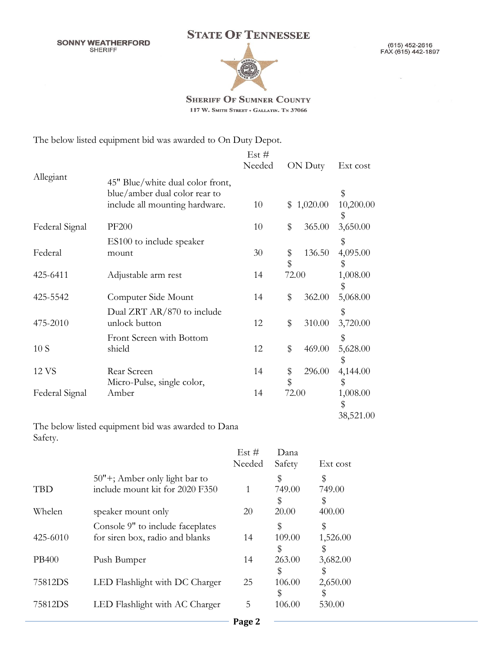**SONNY WEATHERFORD SHERIFF** 



(615) 452-2616<br>FAX (615) 442-1897

 $\overline{a}$ 



**SHERIFF OF SUMNER COUNTY** 117 W. SMITH STREET . GALLATIN. TN 37066

The below listed equipment bid was awarded to On Duty Depot.

|                |                                                                   | Est $#$ |          |            |                             |
|----------------|-------------------------------------------------------------------|---------|----------|------------|-----------------------------|
|                |                                                                   | Needed  |          | ON Duty    | Ext cost                    |
| Allegiant      | 45" Blue/white dual color front,<br>blue/amber dual color rear to |         |          |            | \$                          |
|                | include all mounting hardware.                                    | 10      |          | \$1,020.00 | 10,200.00<br>\$             |
| Federal Signal | <b>PF200</b>                                                      | 10      | \$       | 365.00     | 3,650.00                    |
|                | ES100 to include speaker                                          |         |          |            | \$                          |
| Federal        | mount                                                             | 30      | \$<br>\$ | 136.50     | 4,095.00<br>\$              |
| 425-6411       | Adjustable arm rest                                               | 14      | 72.00    |            | 1,008.00<br>\$              |
| 425-5542       | Computer Side Mount                                               | 14      | \$       | 362.00     | 5,068.00                    |
| 475-2010       | Dual ZRT AR/870 to include<br>unlock button                       | 12      | \$       | 310.00     | \$<br>3,720.00              |
| 10S            | Front Screen with Bottom<br>shield                                | 12      | \$       | 469.00     | \$<br>5,628.00              |
| 12 VS          | Rear Screen<br>Micro-Pulse, single color,                         | 14      | \$<br>\$ | 296.00     | \$<br>4,144.00<br>\$        |
| Federal Signal | Amber                                                             | 14      | 72.00    |            | 1,008.00<br>\$<br>38,521.00 |

The below listed equipment bid was awarded to Dana Safety.

|               |                                                                     | Est $#$<br>Needed | Dana<br>Safety     | Ext cost     |
|---------------|---------------------------------------------------------------------|-------------------|--------------------|--------------|
| <b>TBD</b>    | 50"+; Amber only light bar to<br>include mount kit for 2020 F350    | 1                 | \$<br>749.00       | \$<br>749.00 |
| <b>Whelen</b> | speaker mount only                                                  | 20                | 5<br>20.00         | 5<br>400.00  |
| 425-6010      | Console 9" to include faceplates<br>for siren box, radio and blanks | 14                | \$<br>109.00<br>\$ | 1,526.00     |
| PB400         | Push Bumper                                                         | 14                | 263.00             | 3,682.00     |
| 75812DS       | LED Flashlight with DC Charger                                      | 25                | \$<br>106.00<br>S  | 2,650.00     |
| 75812DS       | LED Flashlight with AC Charger                                      | 5                 | 106.00             | 530.00       |